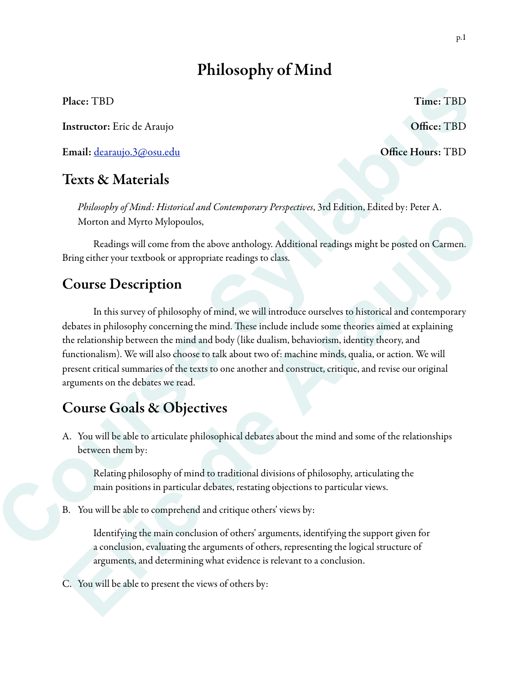# Philosophy of Mind

Place: TBD Time: TBD Time: TBD

Instructor: Eric de Araujo **Office: TBD** 

Email: dearaujo.3@osu.edu Office Hours: TBD

## Texts & Materials

*Philosophy of Mind: Historical and Contemporary Perspectives*, 3rd Edition, Edited by: Peter A. Morton and Myrto Mylopoulos,

 Readings will come from the above anthology. Additional readings might be posted on Carmen. Bring either your textbook or appropriate readings to class.

## Course Description

 In this survey of philosophy of mind, we will introduce ourselves to historical and contemporary debates in philosophy concerning the mind. These include include some theories aimed at explaining the relationship between the mind and body (like dualism, behaviorism, identity theory, and functionalism). We will also choose to talk about two of: machine minds, qualia, or action. We will present critical summaries of the texts to one another and construct, critique, and revise our original arguments on the debates we read. Place: TBD<br> **Course Course Course Analysis** Courtes<br> **Course Syllabus and Court (Figure Syllapulate Syllapulate)**<br> **Colfice Hours:** TBD<br> **Course Section**<br> **Course Section**<br> **Course Syllapulate Courtes and Courtes performe Example 19 Manual Mathema Consideration** is the present stock radioal, stated of the Consideration of Network (Readings will come from the above anthology. Additional readings might be possed on Carmen.<br>
Bring either your

## Course Goals & Objectives

A. You will be able to articulate philosophical debates about the mind and some of the relationships between them by:

Relating philosophy of mind to traditional divisions of philosophy, articulating the main positions in particular debates, restating objections to particular views.

B. You will be able to comprehend and critique others' views by:

Identifying the main conclusion of others' arguments, identifying the support given for a conclusion, evaluating the arguments of others, representing the logical structure of arguments, and determining what evidence is relevant to a conclusion.

C. You will be able to present the views of others by: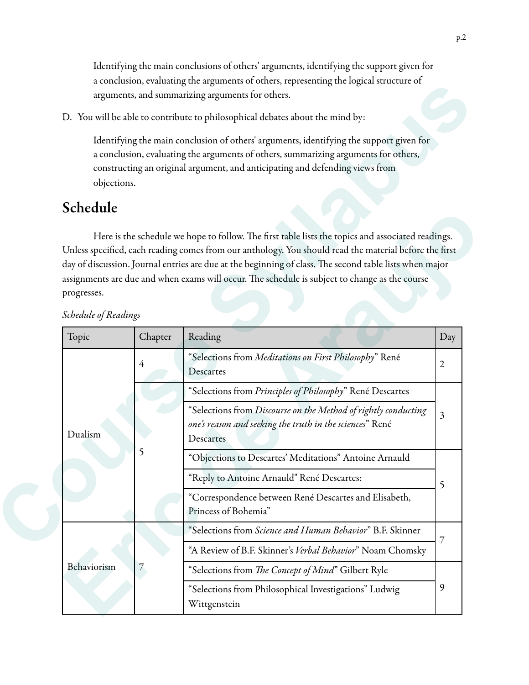Identifying the main conclusions of others' arguments, identifying the support given for a conclusion, evaluating the arguments of others, representing the logical structure of arguments, and summarizing arguments for others.

## Schedule

|                                                                               |         | arguments, and summarizing arguments for others.                                                                                                                                                                                                                                                                                                                                                                         |                         |  |  |  |
|-------------------------------------------------------------------------------|---------|--------------------------------------------------------------------------------------------------------------------------------------------------------------------------------------------------------------------------------------------------------------------------------------------------------------------------------------------------------------------------------------------------------------------------|-------------------------|--|--|--|
| D. You will be able to contribute to philosophical debates about the mind by: |         |                                                                                                                                                                                                                                                                                                                                                                                                                          |                         |  |  |  |
| objections.                                                                   |         | Identifying the main conclusion of others' arguments, identifying the support given for<br>a conclusion, evaluating the arguments of others, summarizing arguments for others,<br>constructing an original argument, and anticipating and defending views from                                                                                                                                                           |                         |  |  |  |
| Schedule                                                                      |         |                                                                                                                                                                                                                                                                                                                                                                                                                          |                         |  |  |  |
| progresses.                                                                   |         | Here is the schedule we hope to follow. The first table lists the topics and associated readings.<br>Unless specified, each reading comes from our anthology. You should read the material before the first<br>day of discussion. Journal entries are due at the beginning of class. The second table lists when major<br>assignments are due and when exams will occur. The schedule is subject to change as the course |                         |  |  |  |
| Schedule of Readings<br>Topic                                                 | Chapter | Reading                                                                                                                                                                                                                                                                                                                                                                                                                  | Day                     |  |  |  |
|                                                                               | 4       | "Selections from Meditations on First Philosophy" René<br>Descartes                                                                                                                                                                                                                                                                                                                                                      |                         |  |  |  |
|                                                                               |         |                                                                                                                                                                                                                                                                                                                                                                                                                          |                         |  |  |  |
|                                                                               |         | "Selections from Principles of Philosophy" René Descartes                                                                                                                                                                                                                                                                                                                                                                |                         |  |  |  |
| Dualism                                                                       |         | "Selections from Discourse on the Method of rightly conducting<br>one's reason and seeking the truth in the sciences" René<br>Descartes                                                                                                                                                                                                                                                                                  | $\overline{\mathbf{3}}$ |  |  |  |
|                                                                               | 5       | "Objections to Descartes' Meditations" Antoine Arnauld                                                                                                                                                                                                                                                                                                                                                                   |                         |  |  |  |
|                                                                               |         | "Reply to Antoine Arnauld" René Descartes:                                                                                                                                                                                                                                                                                                                                                                               |                         |  |  |  |
|                                                                               |         | "Correspondence between René Descartes and Elisabeth,<br>Princess of Bohemia"                                                                                                                                                                                                                                                                                                                                            | 5                       |  |  |  |
|                                                                               |         | "Selections from Science and Human Behavior" B.F. Skinner                                                                                                                                                                                                                                                                                                                                                                |                         |  |  |  |
|                                                                               |         | "A Review of B.F. Skinner's Verbal Behavior" Noam Chomsky                                                                                                                                                                                                                                                                                                                                                                | 7                       |  |  |  |
| Behaviorism                                                                   | 7       | "Selections from The Concept of Mind" Gilbert Ryle                                                                                                                                                                                                                                                                                                                                                                       |                         |  |  |  |

*Schedule of Readings*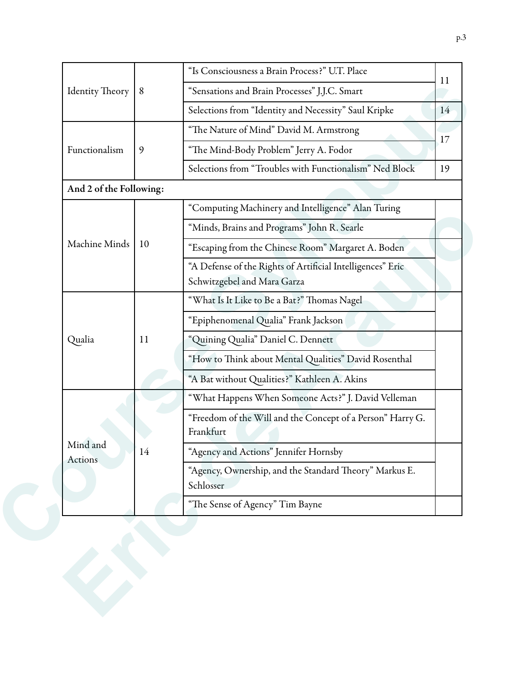|                         | 8  | "Is Consciousness a Brain Process?" U.T. Place                          |    |  |
|-------------------------|----|-------------------------------------------------------------------------|----|--|
| <b>Identity Theory</b>  |    |                                                                         |    |  |
|                         |    | "Sensations and Brain Processes" J.J.C. Smart                           |    |  |
|                         |    | Selections from "Identity and Necessity" Saul Kripke                    |    |  |
|                         |    | "The Nature of Mind" David M. Armstrong                                 |    |  |
| Functionalism           | 9  | "The Mind-Body Problem" Jerry A. Fodor                                  |    |  |
|                         |    | Selections from "Troubles with Functionalism" Ned Block                 | 19 |  |
| And 2 of the Following: |    |                                                                         |    |  |
|                         |    | "Computing Machinery and Intelligence" Alan Turing                      |    |  |
|                         |    | "Minds, Brains and Programs" John R. Searle                             |    |  |
| Machine Minds           | 10 | "Escaping from the Chinese Room" Margaret A. Boden                      |    |  |
|                         |    | "A Defense of the Rights of Artificial Intelligences" Eric              |    |  |
|                         |    | Schwitzgebel and Mara Garza                                             |    |  |
|                         | 11 | "What Is It Like to Be a Bat?" Thomas Nagel                             |    |  |
|                         |    | "Epiphenomenal Qualia" Frank Jackson                                    |    |  |
| Qualia                  |    | "Quining Qualia" Daniel C. Dennett                                      |    |  |
|                         |    | "How to Think about Mental Qualities" David Rosenthal                   |    |  |
|                         |    | "A Bat without Qualities?" Kathleen A. Akins                            |    |  |
|                         |    | "What Happens When Someone Acts?" J. David Velleman                     |    |  |
|                         | 14 | "Freedom of the Will and the Concept of a Person" Harry G.<br>Frankfurt |    |  |
| Mind and<br>Actions     |    | "Agency and Actions" Jennifer Hornsby                                   |    |  |
|                         |    | "Agency, Ownership, and the Standard Theory" Markus E.<br>Schlosser     |    |  |
|                         |    | "The Sense of Agency" Tim Bayne                                         |    |  |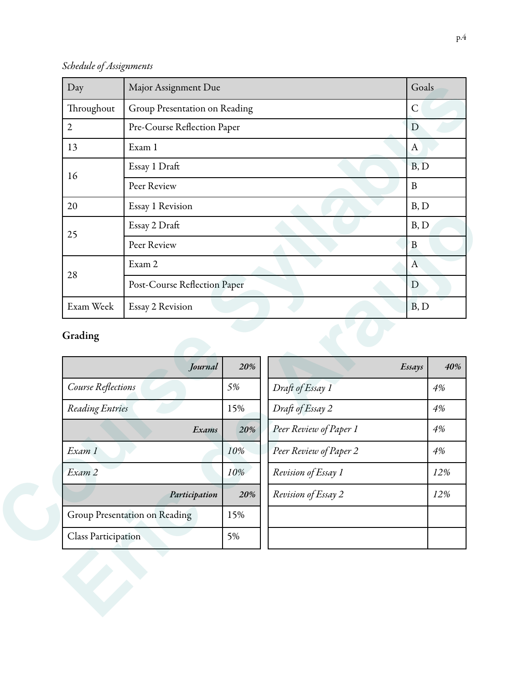*Schedule of Assignments*

| Day          | Major Assignment Due          | Goals            |
|--------------|-------------------------------|------------------|
| Throughout   | Group Presentation on Reading | $\mathsf{C}$     |
| $\mathbf{2}$ | Pre-Course Reflection Paper   | D                |
| 13           | Exam 1                        | $\boldsymbol{A}$ |
| 16           | Essay 1 Draft                 | B, D             |
|              | Peer Review                   | $\mathbf{B}$     |
| 20           | Essay 1 Revision              | B, D             |
| 25           | Essay 2 Draft                 | B, D             |
|              | Peer Review                   | B                |
|              | Exam 2                        | $\mathbf{A}$     |
| 28           | Post-Course Reflection Paper  | D                |
| Exam Week    | Essay 2 Revision              | B, D             |

## Grading

| 25                 | Essay 2 Draft                 |     | B, D                   |        |              |  |
|--------------------|-------------------------------|-----|------------------------|--------|--------------|--|
|                    | Peer Review                   |     |                        | B      |              |  |
|                    | Exam 2                        |     |                        |        | $\mathbf{A}$ |  |
| 28                 | Post-Course Reflection Paper  | D   |                        |        |              |  |
| Exam Week          | Essay 2 Revision              |     |                        | B, D   |              |  |
| Grading            |                               |     |                        |        |              |  |
|                    | Journal                       | 20% |                        | Essays | 40%          |  |
| Course Reflections |                               | 5%  | Draft of Essay 1       |        | $4\%$        |  |
| Reading Entries    |                               | 15% | Draft of Essay 2       |        | 4%           |  |
|                    | Exams                         | 20% | Peer Review of Paper 1 |        | 4%           |  |
| Exam 1             |                               | 10% | Peer Review of Paper 2 |        | $4\%$        |  |
| Exam 2             |                               | 10% | Revision of Essay 1    |        | 12%          |  |
|                    | Participation                 | 20% | Revision of Essay 2    |        | 12%          |  |
|                    |                               |     |                        |        |              |  |
|                    | Group Presentation on Reading | 15% |                        |        |              |  |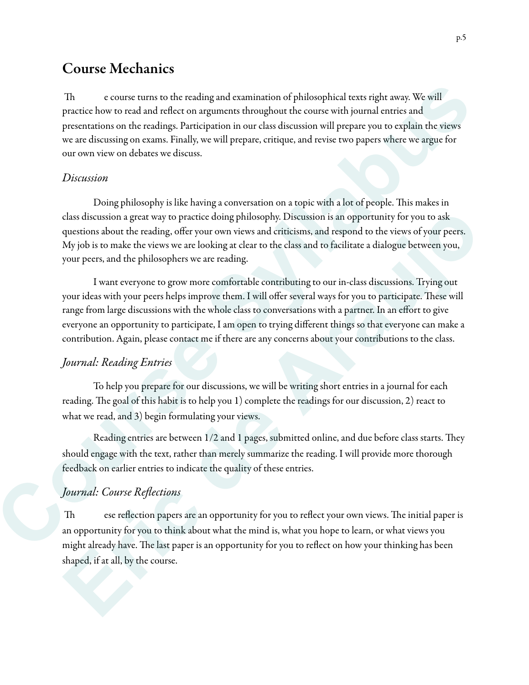## Course Mechanics

Th e course turns to the reading and examination of philosophical texts right away. We will practice how to read and reflect on arguments throughout the course with journal entries and presentations on the readings. Participation in our class discussion will prepare you to explain the views we are discussing on exams. Finally, we will prepare, critique, and revise two papers where we argue for our own view on debates we discuss.

#### *Discussion*

Doing philosophy is like having a conversation on a topic with a lot of people. This makes in class discussion a great way to practice doing philosophy. Discussion is an opportunity for you to ask questions about the reading, offer your own views and criticisms, and respond to the views of your peers. My job is to make the views we are looking at clear to the class and to facilitate a dialogue between you, your peers, and the philosophers we are reading. ing and examination of philosophical texts right away. We will<br>rguments throughout the course with journal entries and<br>ipation in our class discussion will prepare you to explain the views<br>we will prepare, critique, and re

 I want everyone to grow more comfortable contributing to our in-class discussions. Trying out your ideas with your peers helps improve them. I will offer several ways for you to participate. These will range from large discussions with the whole class to conversations with a partner. In an effort to give everyone an opportunity to participate, I am open to trying different things so that everyone can make a contribution. Again, please contact me if there are any concerns about your contributions to the class. class discussion a great way to practice doing philosophy. Discussion is an opportunity for you to ask<br>substitons about the reading, offer your wive wan creative and criticisms, and respond to the views of your peers.<br>My j

### *Journal: Reading Entries*

 To help you prepare for our discussions, we will be writing short entries in a journal for each reading. The goal of this habit is to help you 1) complete the readings for our discussion, 2) react to what we read, and 3) begin formulating your views.

Reading entries are between 1/2 and 1 pages, submitted online, and due before class starts. They should engage with the text, rather than merely summarize the reading. I will provide more thorough feedback on earlier entries to indicate the quality of these entries. contribution. Again, please contact me if there<br>
Journal: Reading Entries<br>
To help you prepare for our discussion<br>
reading. The goal of this habit is to help you 1)<br>
what we read, and 3) begin formulating your v<br>
Reading e

### *Journal: Course Re*fl*ections*

Th ese reflection papers are an opportunity for you to reflect your own views. The initial paper is an opportunity for you to think about what the mind is, what you hope to learn, or what views you might already have. The last paper is an opportunity for you to reflect on how your thinking has been shaped, if at all, by the course.